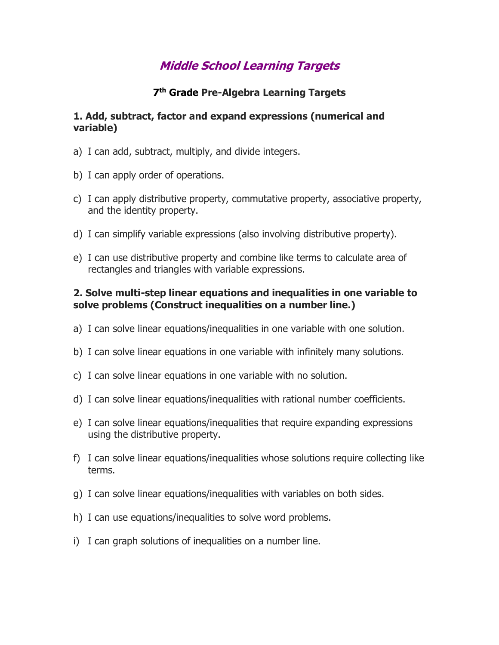# **Middle School Learning Targets**

## **7 th Grade Pre-Algebra Learning Targets**

#### **1. Add, subtract, factor and expand expressions (numerical and variable)**

- a) I can add, subtract, multiply, and divide integers.
- b) I can apply order of operations.
- c) I can apply distributive property, commutative property, associative property, and the identity property.
- d) I can simplify variable expressions (also involving distributive property).
- e) I can use distributive property and combine like terms to calculate area of rectangles and triangles with variable expressions.

### **2. Solve multi-step linear equations and inequalities in one variable to solve problems (Construct inequalities on a number line.)**

- a) I can solve linear equations/inequalities in one variable with one solution.
- b) I can solve linear equations in one variable with infinitely many solutions.
- c) I can solve linear equations in one variable with no solution.
- d) I can solve linear equations/inequalities with rational number coefficients.
- e) I can solve linear equations/inequalities that require expanding expressions using the distributive property.
- f) I can solve linear equations/inequalities whose solutions require collecting like terms.
- g) I can solve linear equations/inequalities with variables on both sides.
- h) I can use equations/inequalities to solve word problems.
- i) I can graph solutions of inequalities on a number line.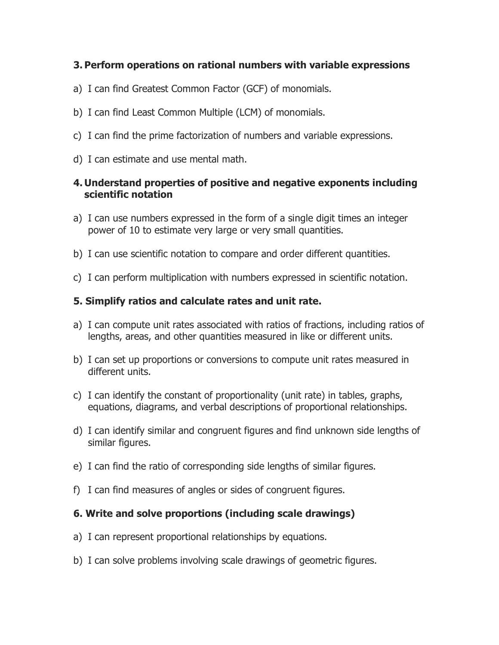## **3. Perform operations on rational numbers with variable expressions**

- a) I can find Greatest Common Factor (GCF) of monomials.
- b) I can find Least Common Multiple (LCM) of monomials.
- c) I can find the prime factorization of numbers and variable expressions.
- d) I can estimate and use mental math.

## **4. Understand properties of positive and negative exponents including scientific notation**

- a) I can use numbers expressed in the form of a single digit times an integer power of 10 to estimate very large or very small quantities.
- b) I can use scientific notation to compare and order different quantities.
- c) I can perform multiplication with numbers expressed in scientific notation.

# **5. Simplify ratios and calculate rates and unit rate.**

- a) I can compute unit rates associated with ratios of fractions, including ratios of lengths, areas, and other quantities measured in like or different units.
- b) I can set up proportions or conversions to compute unit rates measured in different units.
- c) I can identify the constant of proportionality (unit rate) in tables, graphs, equations, diagrams, and verbal descriptions of proportional relationships.
- d) I can identify similar and congruent figures and find unknown side lengths of similar figures.
- e) I can find the ratio of corresponding side lengths of similar figures.
- f) I can find measures of angles or sides of congruent figures.

# **6. Write and solve proportions (including scale drawings)**

- a) I can represent proportional relationships by equations.
- b) I can solve problems involving scale drawings of geometric figures.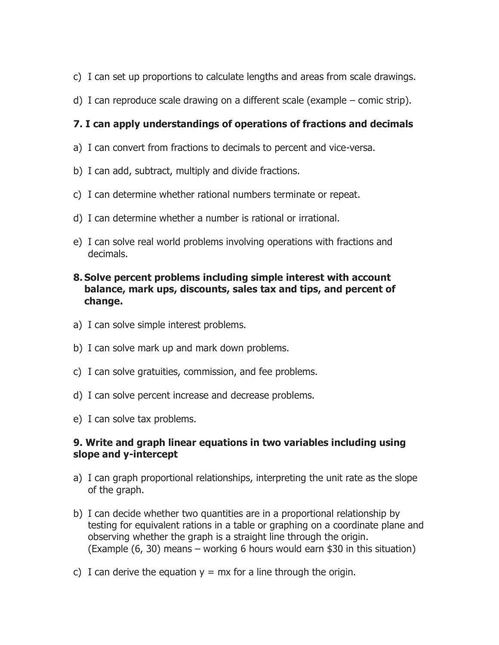- c) I can set up proportions to calculate lengths and areas from scale drawings.
- d) I can reproduce scale drawing on a different scale (example comic strip).

# **7. I can apply understandings of operations of fractions and decimals**

- a) I can convert from fractions to decimals to percent and vice-versa.
- b) I can add, subtract, multiply and divide fractions.
- c) I can determine whether rational numbers terminate or repeat.
- d) I can determine whether a number is rational or irrational.
- e) I can solve real world problems involving operations with fractions and decimals.

## **8. Solve percent problems including simple interest with account balance, mark ups, discounts, sales tax and tips, and percent of change.**

- a) I can solve simple interest problems.
- b) I can solve mark up and mark down problems.
- c) I can solve gratuities, commission, and fee problems.
- d) I can solve percent increase and decrease problems.
- e) I can solve tax problems.

## **9. Write and graph linear equations in two variables including using slope and y-intercept**

- a) I can graph proportional relationships, interpreting the unit rate as the slope of the graph.
- b) I can decide whether two quantities are in a proportional relationship by testing for equivalent rations in a table or graphing on a coordinate plane and observing whether the graph is a straight line through the origin. (Example (6, 30) means – working 6 hours would earn \$30 in this situation)
- c) I can derive the equation  $y = mx$  for a line through the origin.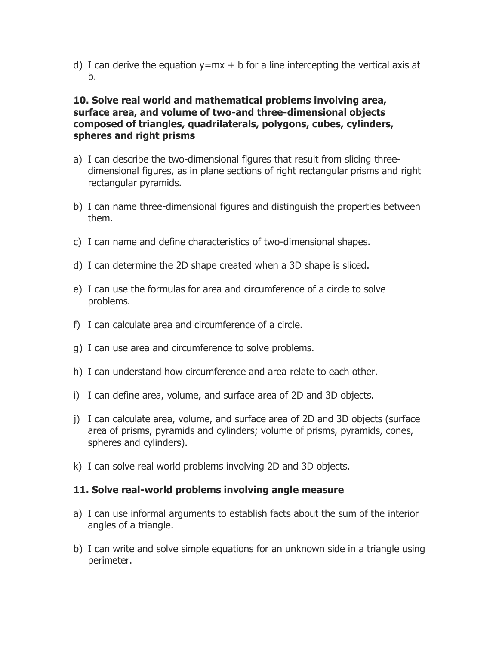d) I can derive the equation  $y=mx + b$  for a line intercepting the vertical axis at b.

### **10. Solve real world and mathematical problems involving area, surface area, and volume of two-and three-dimensional objects composed of triangles, quadrilaterals, polygons, cubes, cylinders, spheres and right prisms**

- a) I can describe the two-dimensional figures that result from slicing threedimensional figures, as in plane sections of right rectangular prisms and right rectangular pyramids.
- b) I can name three-dimensional figures and distinguish the properties between them.
- c) I can name and define characteristics of two-dimensional shapes.
- d) I can determine the 2D shape created when a 3D shape is sliced.
- e) I can use the formulas for area and circumference of a circle to solve problems.
- f) I can calculate area and circumference of a circle.
- g) I can use area and circumference to solve problems.
- h) I can understand how circumference and area relate to each other.
- i) I can define area, volume, and surface area of 2D and 3D objects.
- j) I can calculate area, volume, and surface area of 2D and 3D objects (surface area of prisms, pyramids and cylinders; volume of prisms, pyramids, cones, spheres and cylinders).
- k) I can solve real world problems involving 2D and 3D objects.

### **11. Solve real-world problems involving angle measure**

- a) I can use informal arguments to establish facts about the sum of the interior angles of a triangle.
- b) I can write and solve simple equations for an unknown side in a triangle using perimeter.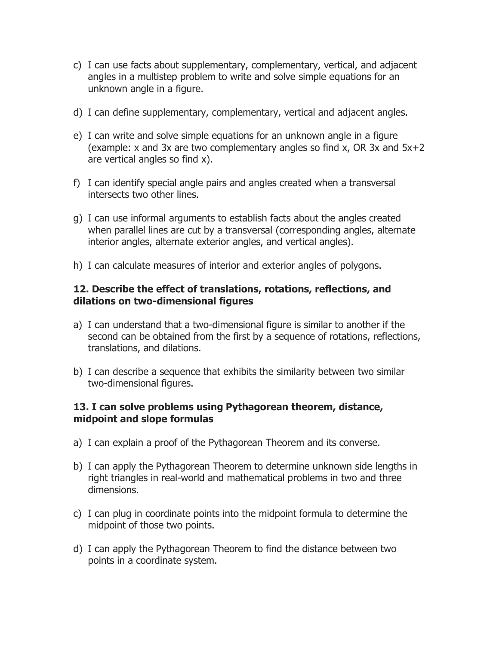- c) I can use facts about supplementary, complementary, vertical, and adjacent angles in a multistep problem to write and solve simple equations for an unknown angle in a figure.
- d) I can define supplementary, complementary, vertical and adjacent angles.
- e) I can write and solve simple equations for an unknown angle in a figure (example:  $x$  and 3x are two complementary angles so find  $x$ , OR 3x and  $5x+2$ are vertical angles so find x).
- f) I can identify special angle pairs and angles created when a transversal intersects two other lines.
- g) I can use informal arguments to establish facts about the angles created when parallel lines are cut by a transversal (corresponding angles, alternate interior angles, alternate exterior angles, and vertical angles).
- h) I can calculate measures of interior and exterior angles of polygons.

#### **12. Describe the effect of translations, rotations, reflections, and dilations on two-dimensional figures**

- a) I can understand that a two-dimensional figure is similar to another if the second can be obtained from the first by a sequence of rotations, reflections, translations, and dilations.
- b) I can describe a sequence that exhibits the similarity between two similar two-dimensional figures.

### **13. I can solve problems using Pythagorean theorem, distance, midpoint and slope formulas**

- a) I can explain a proof of the Pythagorean Theorem and its converse.
- b) I can apply the Pythagorean Theorem to determine unknown side lengths in right triangles in real-world and mathematical problems in two and three dimensions.
- c) I can plug in coordinate points into the midpoint formula to determine the midpoint of those two points.
- d) I can apply the Pythagorean Theorem to find the distance between two points in a coordinate system.